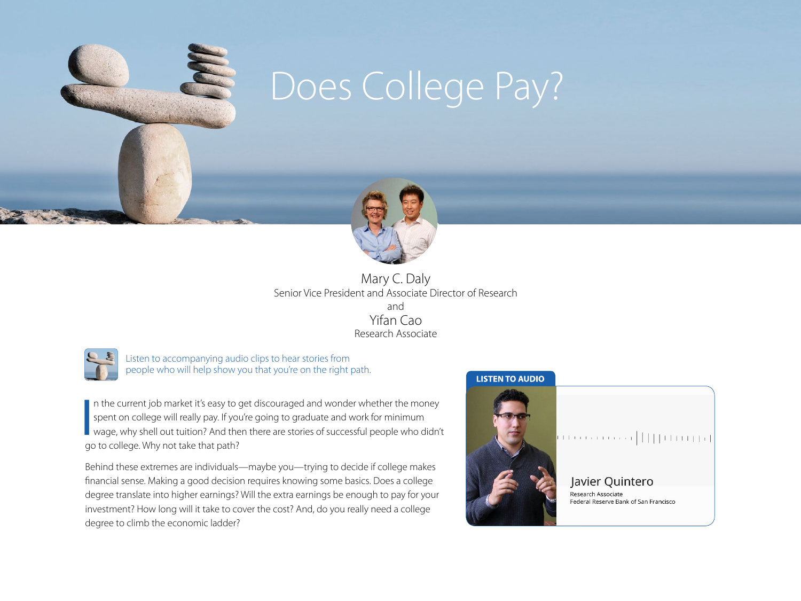

# Does College Pay?



Mary C. Daly Senior Vice President and Associate Director of Research and Yifan Cao Research Associate



Listen to accompanying audio clips to hear stories from people who will help show you that you're on the right path.

 $\frac{1}{2}$ In the current job market it's easy to get discouraged and wonder whether the money spent on college will really pay. If you're going to graduate and work for minimum wage, why shell out tuition? And then there are stories of successful people who didn't go to college. Why not take that path?

Behind these extremes are individuals—maybe you—trying to decide if college makes financial sense. Making a good decision requires knowing some basics. Does a college degree translate into higher earnings? Will the extra earnings be enough to pay for your investment? How long will it take to cover the cost? And, do you really need a college degree to climb the economic ladder?

#### **LISTEN TO AUDIO**



## ú terrarra | [[[Lingp]

Javier Quintero Research Associate Federal Reserve Bank of San Francisco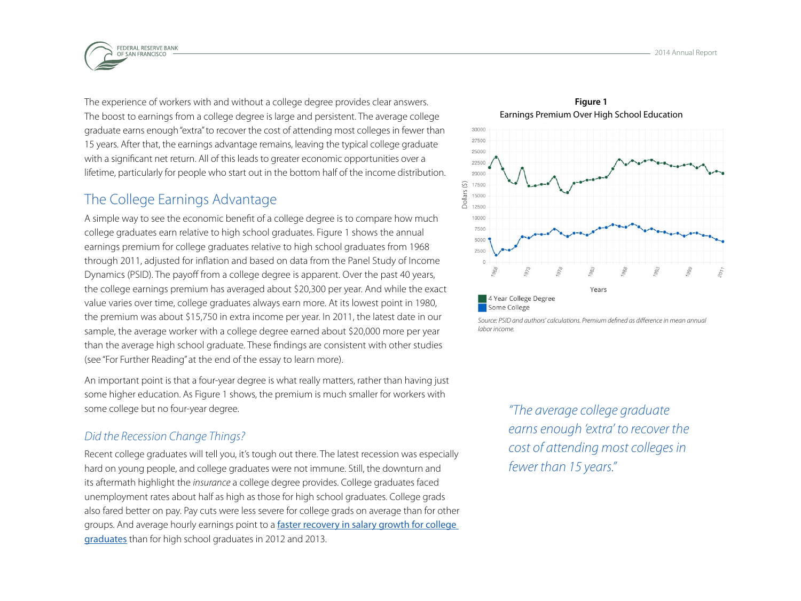

The experience of workers with and without a college degree provides clear answers. The boost to earnings from a college degree is large and persistent. The average college graduate earns enough "extra" to recover the cost of attending most colleges in fewer than 15 years. After that, the earnings advantage remains, leaving the typical college graduate with a significant net return. All of this leads to greater economic opportunities over a lifetime, particularly for people who start out in the bottom half of the income distribution.

## The College Earnings Advantage

A simple way to see the economic benefit of a college degree is to compare how much college graduates earn relative to high school graduates. Figure 1 shows the annual earnings premium for college graduates relative to high school graduates from 1968 through 2011, adjusted for inflation and based on data from the Panel Study of Income Dynamics (PSID). The payoff from a college degree is apparent. Over the past 40 years, the college earnings premium has averaged about \$20,300 per year. And while the exact value varies over time, college graduates always earn more. At its lowest point in 1980, the premium was about \$15,750 in extra income per year. In 2011, the latest date in our sample, the average worker with a college degree earned about \$20,000 more per year than the average high school graduate. These findings are consistent with other studies (see "For Further Reading" at the end of the essay to learn more).

An important point is that a four-year degree is what really matters, rather than having just some higher education. As Figure 1 shows, the premium is much smaller for workers with some college but no four-year degree.

#### *Did the Recession Change Things?*

Recent college graduates will tell you, it's tough out there. The latest recession was especially hard on young people, and college graduates were not immune. Still, the downturn and its aftermath highlight the *insurance* a college degree provides. College graduates faced unemployment rates about half as high as those for high school graduates. College grads also fared better on pay. Pay cuts were less severe for college grads on average than for other groups. And average hourly earnings point to a faster recovery in salary growth for college [graduates](http://www.nytimes.com/2014/05/27/upshot/is-college-worth-it-clearly-new-data-say.html?_r=0&abt=0002&abg=0) than for high school graduates in 2012 and 2013.



*Source: PSID and authors' calculations. Premium defined as difference in mean annual labor income.*

> *"The average college graduate earns enough 'extra' to recover the cost of attending most colleges in fewer than 15 years."*

**Figure 1** Earnings Premium Over High School Education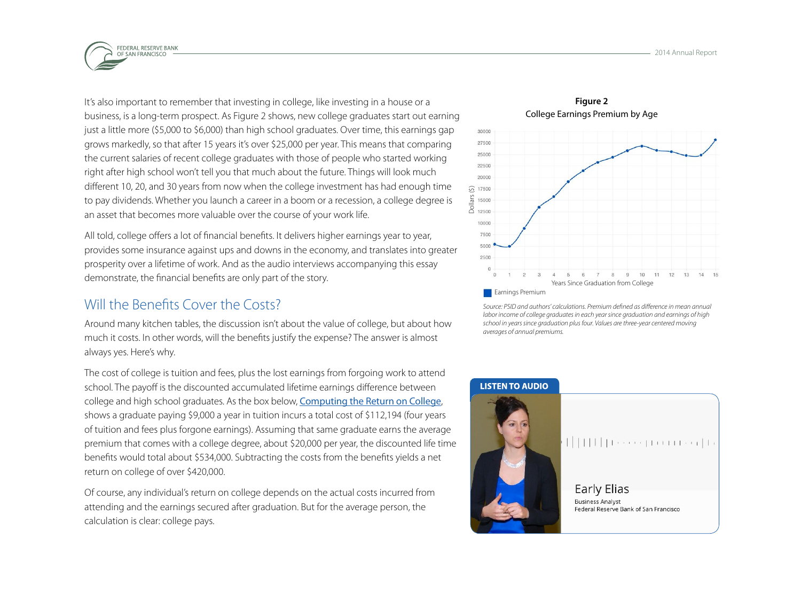

It's also important to remember that investing in college, like investing in a house or a business, is a long-term prospect. As Figure 2 shows, new college graduates start out earning just a little more (\$5,000 to \$6,000) than high school graduates. Over time, this earnings gap grows markedly, so that after 15 years it's over \$25,000 per year. This means that comparing the current salaries of recent college graduates with those of people who started working right after high school won't tell you that much about the future. Things will look much different 10, 20, and 30 years from now when the college investment has had enough time to pay dividends. Whether you launch a career in a boom or a recession, a college degree is an asset that becomes more valuable over the course of your work life.

All told, college offers a lot of financial benefits. It delivers higher earnings year to year, provides some insurance against ups and downs in the economy, and translates into greater prosperity over a lifetime of work. And as the audio interviews accompanying this essay demonstrate, the financial benefits are only part of the story.

#### Will the Benefits Cover the Costs?

Around many kitchen tables, the discussion isn't about the value of college, but about how much it costs. In other words, will the benefits justify the expense? The answer is almost always yes. Here's why.

The cost of college is tuition and fees, plus the lost earnings from forgoing work to attend school. The payoff is the discounted accumulated lifetime earnings difference between college and high school graduates. As the box below, [Computing the Return on College](#page-5-0), shows a graduate paying \$9,000 a year in tuition incurs a total cost of \$112,194 (four years of tuition and fees plus forgone earnings). Assuming that same graduate earns the average premium that comes with a college degree, about \$20,000 per year, the discounted life time benefits would total about \$534,000. Subtracting the costs from the benefits yields a net return on college of over \$420,000.

Of course, any individual's return on college depends on the actual costs incurred from attending and the earnings secured after graduation. But for the average person, the calculation is clear: college pays.



*Source: PSID and authors' calculations. Premium defined as difference in mean annual labor income of college graduates in each year since graduation and earnings of high school in years since graduation plus four. Values are three-year centered moving averages of annual premiums.*

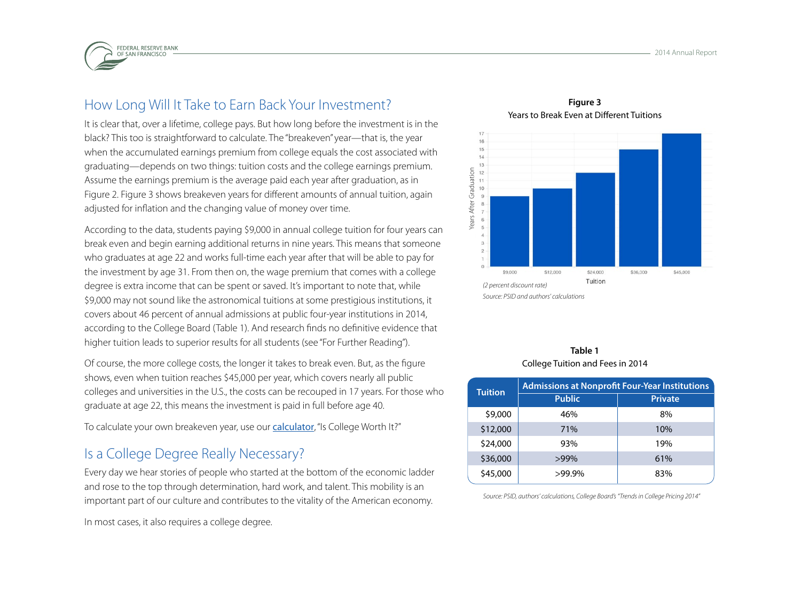

## How Long Will It Take to Earn Back Your Investment?

It is clear that, over a lifetime, college pays. But how long before the investment is in the black? This too is straightforward to calculate. The "breakeven" year—that is, the year when the accumulated earnings premium from college equals the cost associated with graduating—depends on two things: tuition costs and the college earnings premium. Assume the earnings premium is the average paid each year after graduation, as in Figure 2. Figure 3 shows breakeven years for different amounts of annual tuition, again adjusted for inflation and the changing value of money over time.

According to the data, students paying \$9,000 in annual college tuition for four years can break even and begin earning additional returns in nine years. This means that someone who graduates at age 22 and works full-time each year after that will be able to pay for the investment by age 31. From then on, the wage premium that comes with a college degree is extra income that can be spent or saved. It's important to note that, while \$9,000 may not sound like the astronomical tuitions at some prestigious institutions, it covers about 46 percent of annual admissions at public four-year institutions in 2014, according to the College Board (Table 1). And research finds no definitive evidence that higher tuition leads to superior results for all students (see "For Further Reading").

Of course, the more college costs, the longer it takes to break even. But, as the figure shows, even when tuition reaches \$45,000 per year, which covers nearly all public colleges and universities in the U.S., the costs can be recouped in 17 years. For those who graduate at age 22, this means the investment is paid in full before age 40.

To calculate your own breakeven year, use our **[calculator](http://www.frbsf.org/education/teacher-resources/value-of-college)**, "Is College Worth It?"

#### Is a College Degree Really Necessary?

Every day we hear stories of people who started at the bottom of the economic ladder and rose to the top through determination, hard work, and talent. This mobility is an important part of our culture and contributes to the vitality of the American economy.

In most cases, it also requires a college degree.

**Figure 3** Years to Break Even at Different Tuitions



#### **Table 1** College Tuition and Fees in 2014

| <b>Tuition</b> | <b>Admissions at Nonprofit Four-Year Institutions</b> |                |
|----------------|-------------------------------------------------------|----------------|
|                | <b>Public</b>                                         | <b>Private</b> |
| \$9,000        | 46%                                                   | 8%             |
| \$12,000       | 71%                                                   | 10%            |
| \$24,000       | 93%                                                   | 19%            |
| \$36,000       | >99%                                                  | 61%            |
| \$45,000       | $>99.9\%$                                             | 83%            |

*Source: PSID, authors' calculations, College Board's "Trends in College Pricing 2014"*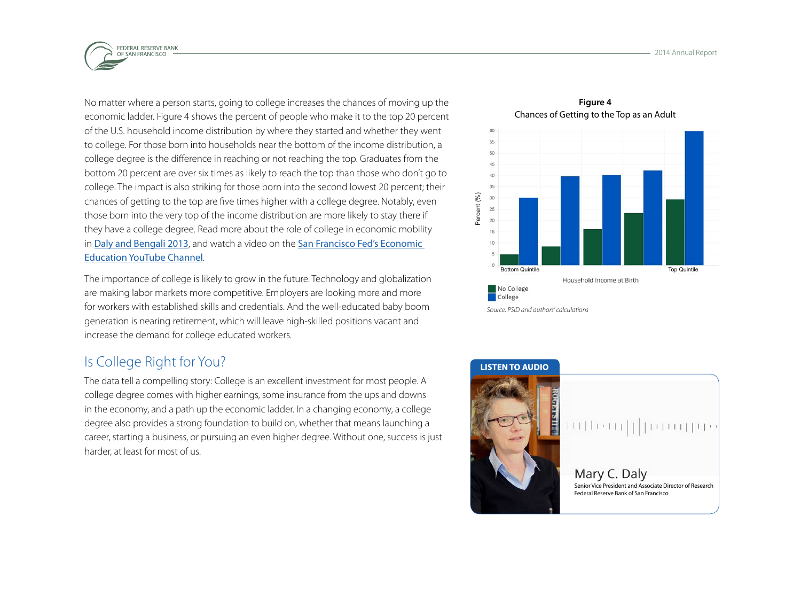

No matter where a person starts, going to college increases the chances of moving up the economic ladder. Figure 4 shows the percent of people who make it to the top 20 percent of the U.S. household income distribution by where they started and whether they went to college. For those born into households near the bottom of the income distribution, a college degree is the difference in reaching or not reaching the top. Graduates from the bottom 20 percent are over six times as likely to reach the top than those who don't go to college. The impact is also striking for those born into the second lowest 20 percent; their chances of getting to the top are five times higher with a college degree. Notably, even those born into the very top of the income distribution are more likely to stay there if they have a college degree. Read more about the role of college in economic mobility in Daly and Bengali [2013](http://www.frbsf.org/economic-research/publications/economic-letter/2014/may/is-college-worth-it-education-tuition-wages/), and watch a video on the San Francisco Fed's Economic [Education YouTube Channel](https://www.youtube.com/playlist?list=PLqE5EIEUZpLLST1ZNB_Sm5EOG1_FKOmhy).

The importance of college is likely to grow in the future. Technology and globalization are making labor markets more competitive. Employers are looking more and more for workers with established skills and credentials. And the well-educated baby boom generation is nearing retirement, which will leave high-skilled positions vacant and increase the demand for college educated workers.

## Is College Right for You?

The data tell a compelling story: College is an excellent investment for most people. A college degree comes with higher earnings, some insurance from the ups and downs in the economy, and a path up the economic ladder. In a changing economy, a college degree also provides a strong foundation to build on, whether that means launching a career, starting a business, or pursuing an even higher degree. Without one, success is just harder, at least for most of us.

Chances of Getting to the Top as an Adult 55 45 40 35 Percent (%) Percent (%)  $30$ 25 20 15  $10$ Bottom Quintile Top Quintile Top Quintile Household Income at Birth No College College

*Source: PSID and authors' calculations*

**Figure 4**

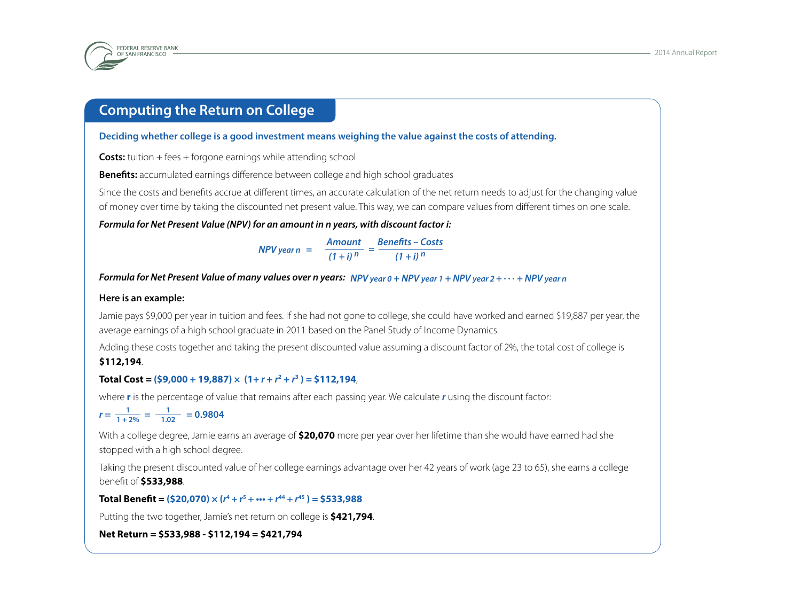<span id="page-5-0"></span>

#### **Computing the Return on College**

**Deciding whether college is a good investment means weighing the value against the costs of attending.** 

**Costs:** tuition + fees + forgone earnings while attending school

**Benefits:** accumulated earnings difference between college and high school graduates

Since the costs and benefits accrue at different times, an accurate calculation of the net return needs to adjust for the changing value of money over time by taking the discounted net present value. This way, we can compare values from different times on one scale.

*Formula for Net Present Value (NPV) for an amount in n years, with discount factor i:*

*NPV year n = Amount Benefits – Costs*  $\frac{1}{(1+i)^n} = \frac{5}{(1+i)^n}$ 

*Formula for Net Present Value of many values over n years: NPV year 0 + NPV year 1 + NPV year 2 + . . . + NPV year n* 

#### **Here is an example:**

Jamie pays \$9,000 per year in tuition and fees. If she had not gone to college, she could have worked and earned \$19,887 per year, the average earnings of a high school graduate in 2011 based on the Panel Study of Income Dynamics.

Adding these costs together and taking the present discounted value assuming a discount factor of 2%, the total cost of college is **\$112,194**.

#### **Total Cost = (\$9,000 + 19,887)**  $\times$  (1+  $r + r^2 + r^3$ ) = \$112,194,

where **r** is the percentage of value that remains after each passing year. We calculate *r* using the discount factor:

$$
r = \frac{1}{1+2\%} = \frac{1}{1.02} = 0.9804
$$

With a college degree, Jamie earns an average of **\$20,070** more per year over her lifetime than she would have earned had she stopped with a high school degree.

Taking the present discounted value of her college earnings advantage over her 42 years of work (age 23 to 65), she earns a college benefit of **\$533,988**.

 $\textbf{Total Bennett} = (\textbf{$} 520,070) \times (r^4 + r^5 + \cdots + r^{44} + r^{45}) = \textbf{$} 533,988$ 

Putting the two together, Jamie's net return on college is **\$421,794**.

**Net Return = \$533,988 - \$112,194 = \$421,794**